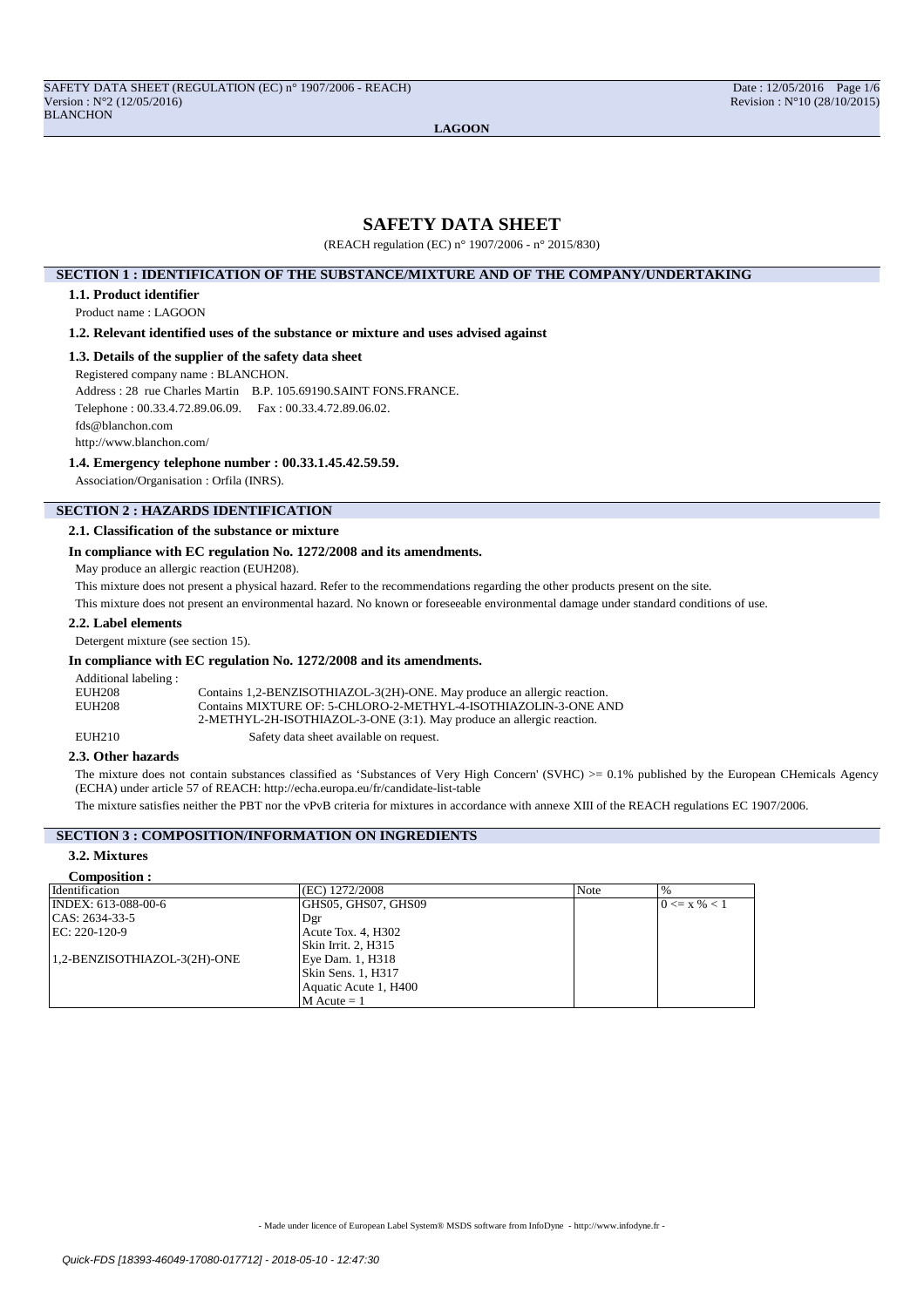# **SAFETY DATA SHEET**

(REACH regulation (EC) n° 1907/2006 - n° 2015/830)

### **SECTION 1 : IDENTIFICATION OF THE SUBSTANCE/MIXTURE AND OF THE COMPANY/UNDERTAKING**

#### **1.1. Product identifier**

Product name : LAGOON

# **1.2. Relevant identified uses of the substance or mixture and uses advised against**

### **1.3. Details of the supplier of the safety data sheet**

Registered company name : BLANCHON.

Address : 28 rue Charles Martin B.P. 105.69190.SAINT FONS.FRANCE.

Telephone : 00.33.4.72.89.06.09. Fax : 00.33.4.72.89.06.02.

fds@blanchon.com

http://www.blanchon.com/

# **1.4. Emergency telephone number : 00.33.1.45.42.59.59.**

Association/Organisation : Orfila (INRS).

# **SECTION 2 : HAZARDS IDENTIFICATION**

#### **2.1. Classification of the substance or mixture**

### **In compliance with EC regulation No. 1272/2008 and its amendments.**

May produce an allergic reaction (EUH208).

This mixture does not present a physical hazard. Refer to the recommendations regarding the other products present on the site.

This mixture does not present an environmental hazard. No known or foreseeable environmental damage under standard conditions of use.

## **2.2. Label elements**

Detergent mixture (see section 15).

#### **In compliance with EC regulation No. 1272/2008 and its amendments.**

Additional labeling :<br>EUH208 EUH208 Contains 1,2-BENZISOTHIAZOL-3(2H)-ONE. May produce an allergic reaction.<br>EUH208 Contains MIXTURE OF: 5-CHLORO-2-METHYL-4-ISOTHIAZOLIN-3-ONE AN Contains MIXTURE OF: 5-CHLORO-2-METHYL-4-ISOTHIAZOLIN-3-ONE AND 2-METHYL-2H-ISOTHIAZOL-3-ONE (3:1). May produce an allergic reaction. EUH210 Safety data sheet available on request.

# **2.3. Other hazards**

The mixture does not contain substances classified as 'Substances of Very High Concern' (SVHC) >= 0.1% published by the European CHemicals Agency (ECHA) under article 57 of REACH: http://echa.europa.eu/fr/candidate-list-table

The mixture satisfies neither the PBT nor the vPvB criteria for mixtures in accordance with annexe XIII of the REACH regulations EC 1907/2006.

# **SECTION 3 : COMPOSITION/INFORMATION ON INGREDIENTS**

### **3.2. Mixtures**

| Composition :                |                       |             |                  |
|------------------------------|-----------------------|-------------|------------------|
| Identification               | (EC) 1272/2008        | <b>Note</b> | $\%$             |
| INDEX: 613-088-00-6          | GHS05. GHS07. GHS09   |             | $0 \le x \% < 1$ |
| $ CAS: 2634-33-5$            | Dgr                   |             |                  |
| EC: 220-120-9                | Acute Tox. 4, H302    |             |                  |
|                              | Skin Irrit. 2, H315   |             |                  |
| 1,2-BENZISOTHIAZOL-3(2H)-ONE | Eye Dam. 1, H318      |             |                  |
|                              | Skin Sens. 1, H317    |             |                  |
|                              | Aquatic Acute 1, H400 |             |                  |
|                              | $M$ Acute = 1         |             |                  |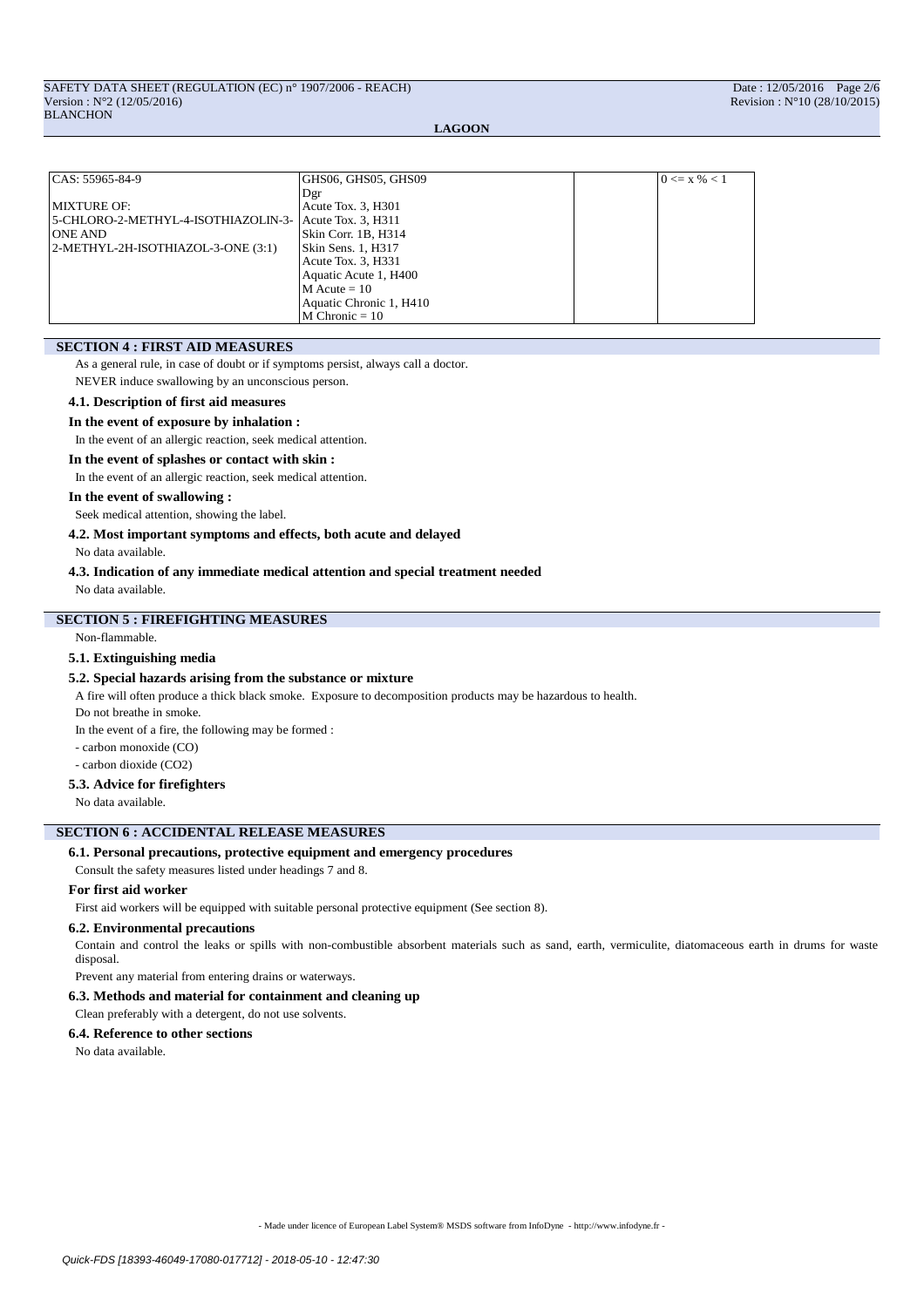| CAS: 55965-84-9                     | GHS06, GHS05, GHS09     | $0 \le x \le 1$ |
|-------------------------------------|-------------------------|-----------------|
|                                     | Dgr                     |                 |
| MIXTURE OF:                         | Acute Tox. 3, H301      |                 |
| 5-CHLORO-2-METHYL-4-ISOTHIAZOLIN-3- | Acute Tox. 3, H311      |                 |
| <b>ONE AND</b>                      | Skin Corr. 1B, H314     |                 |
| 2-METHYL-2H-ISOTHIAZOL-3-ONE (3:1)  | Skin Sens. 1, H317      |                 |
|                                     | Acute Tox. 3, H331      |                 |
|                                     | Aquatic Acute 1, H400   |                 |
|                                     | $M$ Acute = 10          |                 |
|                                     | Aquatic Chronic 1, H410 |                 |
|                                     | $M$ Chronic = 10        |                 |

# **SECTION 4 : FIRST AID MEASURES**

As a general rule, in case of doubt or if symptoms persist, always call a doctor.

NEVER induce swallowing by an unconscious person.

# **4.1. Description of first aid measures**

#### **In the event of exposure by inhalation :**

In the event of an allergic reaction, seek medical attention.

#### **In the event of splashes or contact with skin :**

In the event of an allergic reaction, seek medical attention.

#### **In the event of swallowing :**

Seek medical attention, showing the label.

# **4.2. Most important symptoms and effects, both acute and delayed**

No data available.

### **4.3. Indication of any immediate medical attention and special treatment needed**

No data available.

# **SECTION 5 : FIREFIGHTING MEASURES**

Non-flammable.

# **5.1. Extinguishing media**

#### **5.2. Special hazards arising from the substance or mixture**

A fire will often produce a thick black smoke. Exposure to decomposition products may be hazardous to health.

Do not breathe in smoke.

In the event of a fire, the following may be formed :

- carbon monoxide (CO)
- carbon dioxide (CO2)

### **5.3. Advice for firefighters**

No data available.

# **SECTION 6 : ACCIDENTAL RELEASE MEASURES**

### **6.1. Personal precautions, protective equipment and emergency procedures**

Consult the safety measures listed under headings 7 and 8.

# **For first aid worker**

First aid workers will be equipped with suitable personal protective equipment (See section 8).

#### **6.2. Environmental precautions**

Contain and control the leaks or spills with non-combustible absorbent materials such as sand, earth, vermiculite, diatomaceous earth in drums for waste disposal.

Prevent any material from entering drains or waterways.

### **6.3. Methods and material for containment and cleaning up**

Clean preferably with a detergent, do not use solvents.

# **6.4. Reference to other sections**

No data available.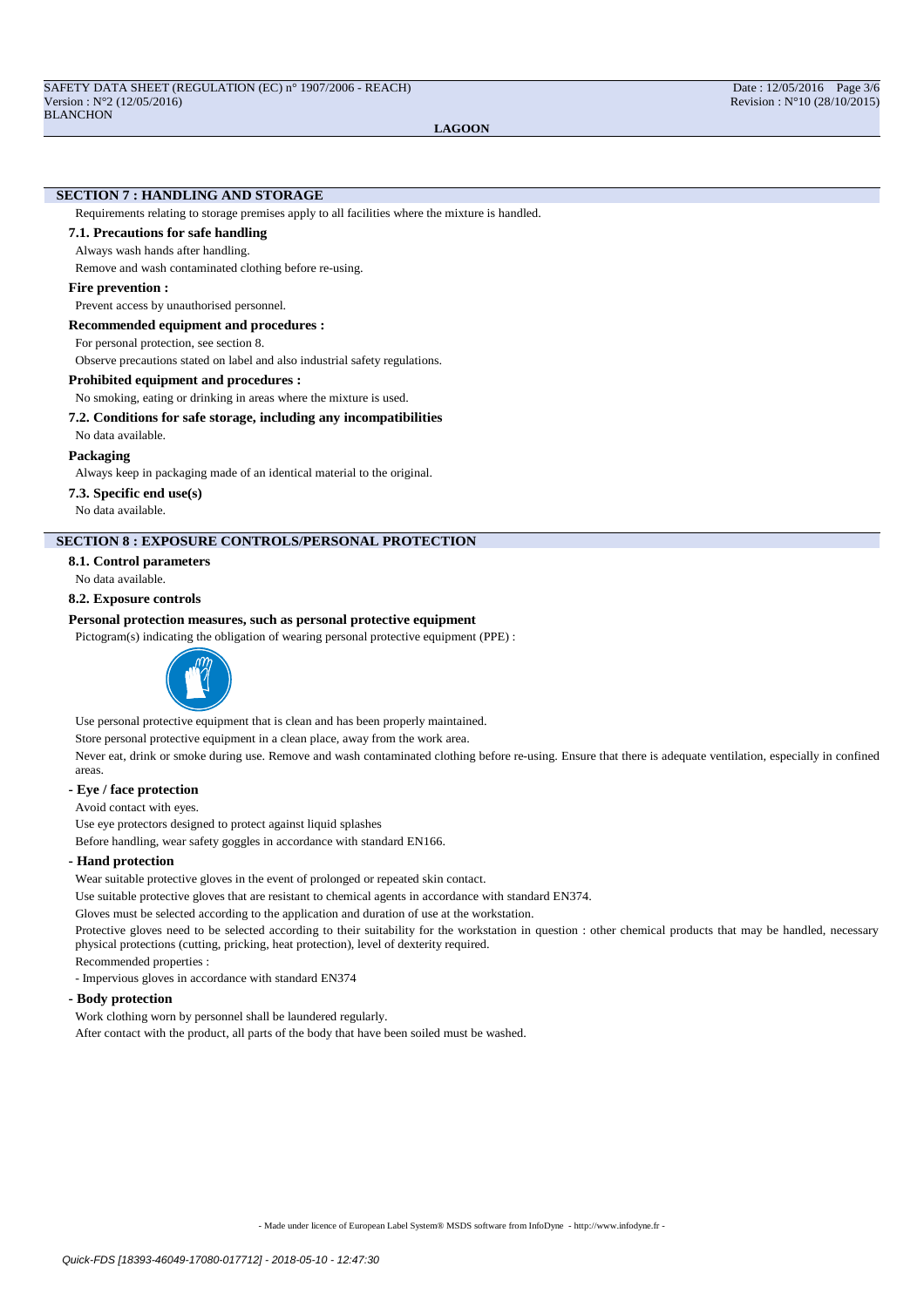## **SECTION 7 : HANDLING AND STORAGE**

Requirements relating to storage premises apply to all facilities where the mixture is handled.

# **7.1. Precautions for safe handling**

Always wash hands after handling.

Remove and wash contaminated clothing before re-using.

#### **Fire prevention :**

Prevent access by unauthorised personnel.

**Recommended equipment and procedures :**

For personal protection, see section 8.

Observe precautions stated on label and also industrial safety regulations.

### **Prohibited equipment and procedures :**

No smoking, eating or drinking in areas where the mixture is used.

### **7.2. Conditions for safe storage, including any incompatibilities**

No data available.

#### **Packaging**

Always keep in packaging made of an identical material to the original.

**7.3. Specific end use(s)**

No data available.

# **SECTION 8 : EXPOSURE CONTROLS/PERSONAL PROTECTION**

#### **8.1. Control parameters**

No data available.

#### **8.2. Exposure controls**

## **Personal protection measures, such as personal protective equipment**

Pictogram(s) indicating the obligation of wearing personal protective equipment (PPE) :



Use personal protective equipment that is clean and has been properly maintained.

Store personal protective equipment in a clean place, away from the work area.

Never eat, drink or smoke during use. Remove and wash contaminated clothing before re-using. Ensure that there is adequate ventilation, especially in confined areas.

# **- Eye / face protection**

Avoid contact with eyes.

Use eye protectors designed to protect against liquid splashes

Before handling, wear safety goggles in accordance with standard EN166.

#### **- Hand protection**

Wear suitable protective gloves in the event of prolonged or repeated skin contact.

Use suitable protective gloves that are resistant to chemical agents in accordance with standard EN374.

Gloves must be selected according to the application and duration of use at the workstation.

Protective gloves need to be selected according to their suitability for the workstation in question : other chemical products that may be handled, necessary physical protections (cutting, pricking, heat protection), level of dexterity required.

Recommended properties :

- Impervious gloves in accordance with standard EN374

#### **- Body protection**

Work clothing worn by personnel shall be laundered regularly.

After contact with the product, all parts of the body that have been soiled must be washed.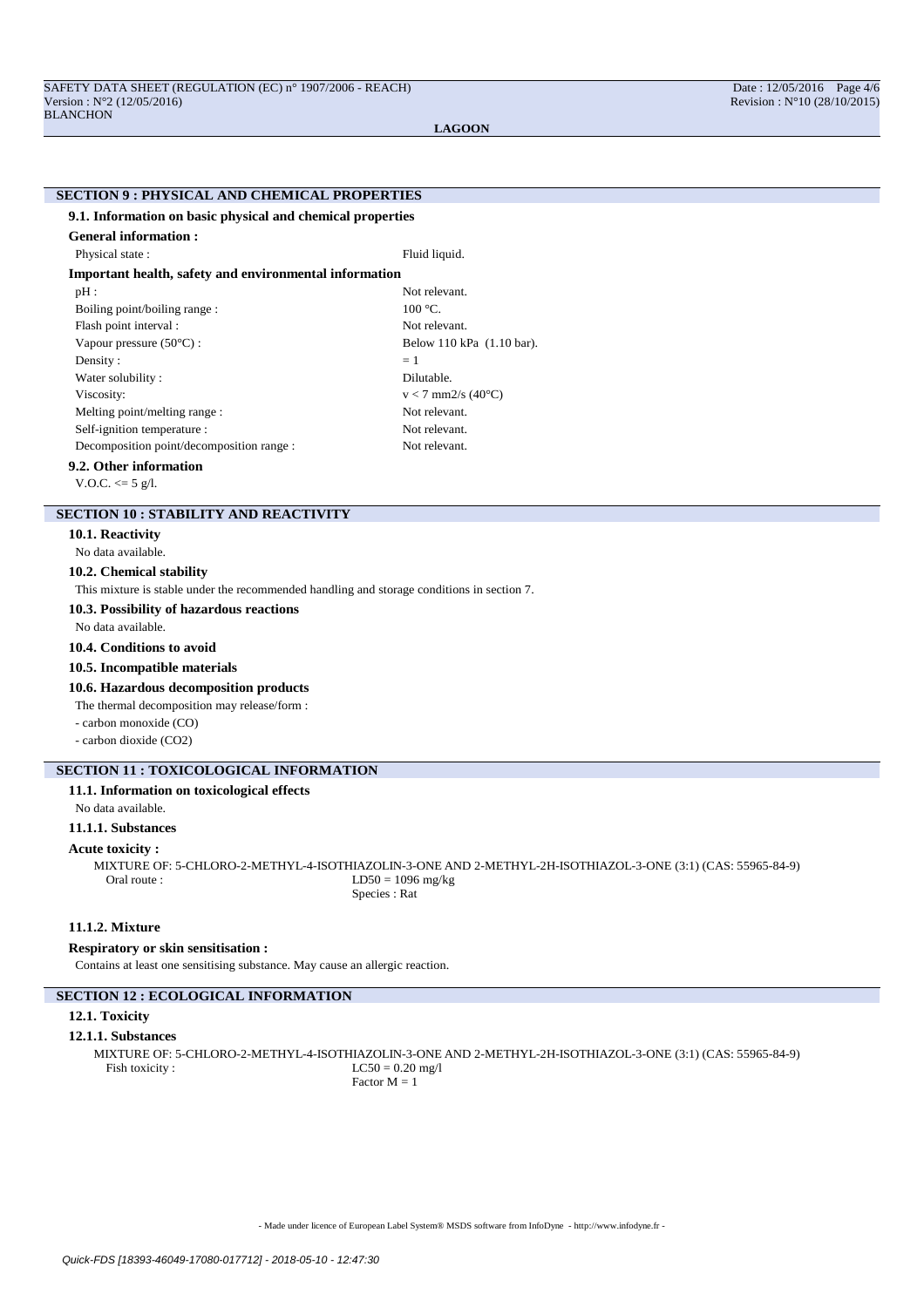# **SECTION 9 : PHYSICAL AND CHEMICAL PROPERTIES**

### **9.1. Information on basic physical and chemical properties**

| <b>General information :</b>                           |                                 |  |  |  |
|--------------------------------------------------------|---------------------------------|--|--|--|
| Physical state:                                        | Fluid liquid.                   |  |  |  |
| Important health, safety and environmental information |                                 |  |  |  |
| $pH$ :                                                 | Not relevant.                   |  |  |  |
| Boiling point/boiling range:                           | $100^{\circ}$ C.                |  |  |  |
| Flash point interval :                                 | Not relevant.                   |  |  |  |
| Vapour pressure $(50^{\circ}C)$ :                      | Below 110 kPa (1.10 bar).       |  |  |  |
| Density:                                               | $=1$                            |  |  |  |
| Water solubility:                                      | Dilutable.                      |  |  |  |
| Viscosity:                                             | $v < 7$ mm2/s (40 $^{\circ}$ C) |  |  |  |
| Melting point/melting range:                           | Not relevant.                   |  |  |  |
| Self-ignition temperature :                            | Not relevant.                   |  |  |  |
| Decomposition point/decomposition range :              | Not relevant.                   |  |  |  |

# **9.2. Other information**

V.O.C.  $<= 5$  g/l.

# **SECTION 10 : STABILITY AND REACTIVITY**

**10.1. Reactivity**

No data available.

#### **10.2. Chemical stability**

This mixture is stable under the recommended handling and storage conditions in section 7.

#### **10.3. Possibility of hazardous reactions**

No data available.

### **10.4. Conditions to avoid**

### **10.5. Incompatible materials**

### **10.6. Hazardous decomposition products**

The thermal decomposition may release/form :

- carbon monoxide (CO)
- carbon dioxide (CO2)

# **SECTION 11 : TOXICOLOGICAL INFORMATION**

# **11.1. Information on toxicological effects**

No data available.

# **11.1.1. Substances**

#### **Acute toxicity :**

MIXTURE OF: 5-CHLORO-2-METHYL-4-ISOTHIAZOLIN-3-ONE AND 2-METHYL-2H-ISOTHIAZOL-3-ONE (3:1) (CAS: 55965-84-9)  $LD50 = 1096$  mg/kg Species : Rat

# **11.1.2. Mixture**

# **Respiratory or skin sensitisation :**

Contains at least one sensitising substance. May cause an allergic reaction.

# **SECTION 12 : ECOLOGICAL INFORMATION**

# **12.1. Toxicity**

#### **12.1.1. Substances**

MIXTURE OF: 5-CHLORO-2-METHYL-4-ISOTHIAZOLIN-3-ONE AND 2-METHYL-2H-ISOTHIAZOL-3-ONE (3:1) (CAS: 55965-84-9)<br>Fish toxicity : LC50 = 0.20 mg/l  $LC50 = 0.20$  mg/l Factor  $M = 1$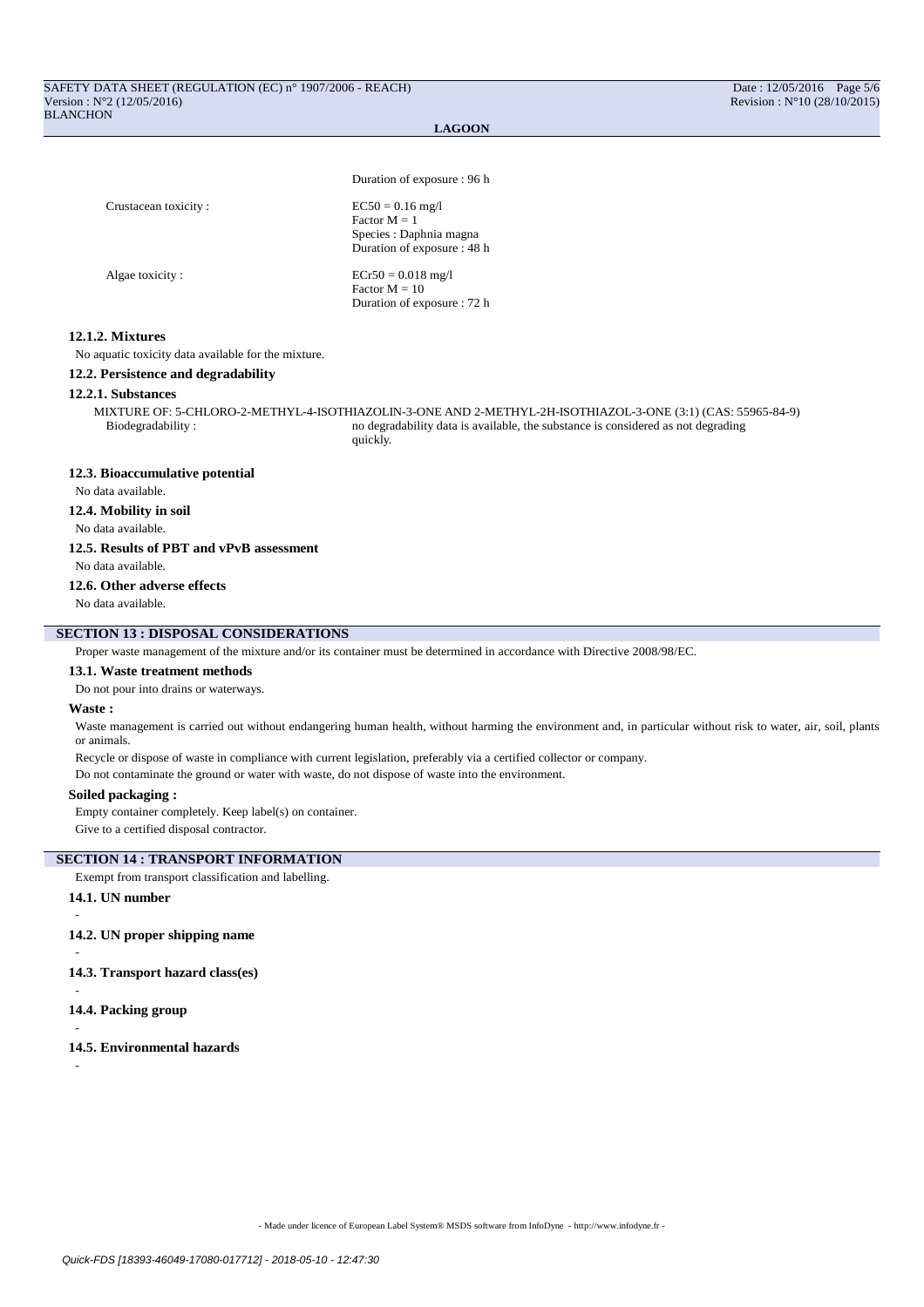Duration of exposure : 96 h

| Crustacean toxicity: | $EC50 = 0.16$ mg/l<br>Factor $M = 1$<br>Species : Daphnia magna<br>Duration of exposure: 48 h |
|----------------------|-----------------------------------------------------------------------------------------------|
| Algae toxicity:      | $ECr50 = 0.018$ mg/l<br>Factor $M = 10$<br>Duration of exposure : 72 h                        |

# **12.1.2. Mixtures**

No aquatic toxicity data available for the mixture.

**12.2. Persistence and degradability**

#### **12.2.1. Substances**

MIXTURE OF: 5-CHLORO-2-METHYL-4-ISOTHIAZOLIN-3-ONE AND 2-METHYL-2H-ISOTHIAZOL-3-ONE (3:1) (CAS: 55965-84-9) Biodegradability : no degradability data is available, the substance is considered as not degrading quickly.

#### **12.3. Bioaccumulative potential**

No data available.

#### **12.4. Mobility in soil**

No data available.

#### **12.5. Results of PBT and vPvB assessment**

No data available.

# **12.6. Other adverse effects**

No data available.

# **SECTION 13 : DISPOSAL CONSIDERATIONS**

Proper waste management of the mixture and/or its container must be determined in accordance with Directive 2008/98/EC.

### **13.1. Waste treatment methods**

Do not pour into drains or waterways.

#### **Waste :**

Waste management is carried out without endangering human health, without harming the environment and, in particular without risk to water, air, soil, plants or animals.

Recycle or dispose of waste in compliance with current legislation, preferably via a certified collector or company.

Do not contaminate the ground or water with waste, do not dispose of waste into the environment.

#### **Soiled packaging :**

Empty container completely. Keep label(s) on container.

Give to a certified disposal contractor.

### **SECTION 14 : TRANSPORT INFORMATION**

Exempt from transport classification and labelling.

### **14.1. UN number**

-

# **14.2. UN proper shipping name**

**14.3. Transport hazard class(es)**

-

-

-

-

**14.4. Packing group**

**14.5. Environmental hazards**

- Made under licence of European Label System® MSDS software from InfoDyne - http://www.infodyne.fr -